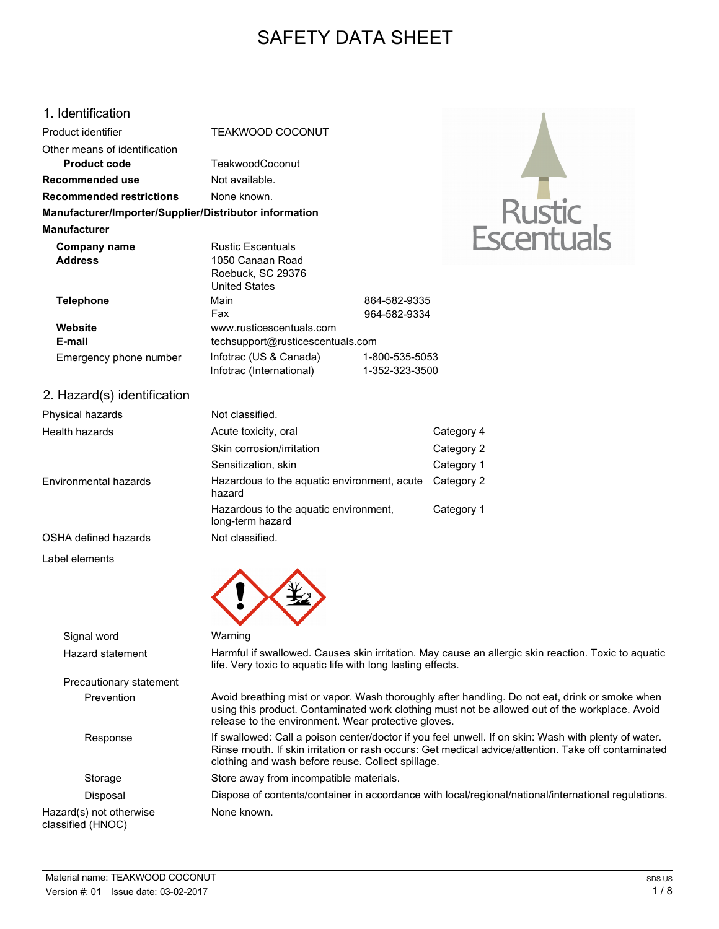# SAFETY DATA SHEET

### 1. Identification

| Product identifier                                     | <b>TEAKWOOD COCONUT</b>          |                |
|--------------------------------------------------------|----------------------------------|----------------|
| Other means of identification<br>Product code          | <b>TeakwoodCoconut</b>           |                |
|                                                        |                                  |                |
| Recommended use                                        | Not available.                   |                |
| <b>Recommended restrictions</b>                        | None known.                      |                |
| Manufacturer/Importer/Supplier/Distributor information |                                  |                |
| Manufacturer                                           |                                  |                |
| Company name                                           | <b>Rustic Escentuals</b>         |                |
| <b>Address</b>                                         | 1050 Canaan Road                 |                |
|                                                        | Roebuck, SC 29376                |                |
|                                                        | <b>United States</b>             |                |
| <b>Telephone</b>                                       | Main                             | 864-582-9335   |
|                                                        | Fax                              | 964-582-9334   |
| Website                                                | www.rusticescentuals.com         |                |
| E-mail                                                 | techsupport@rusticescentuals.com |                |
| Emergency phone number                                 | Infotrac (US & Canada)           | 1-800-535-5053 |
|                                                        | Infotrac (International)         | 1-352-323-3500 |
| 2. Hazard(s) identification                            |                                  |                |
|                                                        |                                  |                |



Signal word Warning

Hazard statement Harmful if swallowed. Causes skin irritation. May cause an allergic skin reaction. Toxic to aquatic life. Very toxic to aquatic life with long lasting effects.

Rustic<br>Escentua

Prevention Avoid breathing mist or vapor. Wash thoroughly after handling. Do not eat, drink or smoke when using this product. Contaminated work clothing must not be allowed out of the workplace. Avoid release to the environment. Wear protective gloves.

Response If swallowed: Call a poison center/doctor if you feel unwell. If on skin: Wash with plenty of water. Rinse mouth. If skin irritation or rash occurs: Get medical advice/attention. Take off contaminated clothing and wash before reuse. Collect spillage.

Storage Store away from incompatible materials.

Disposal Dispose of contents/container in accordance with local/regional/national/international regulations. None known.

## Hazard(s) not otherwise classified (HNOC)

Precautionary statement

Label elements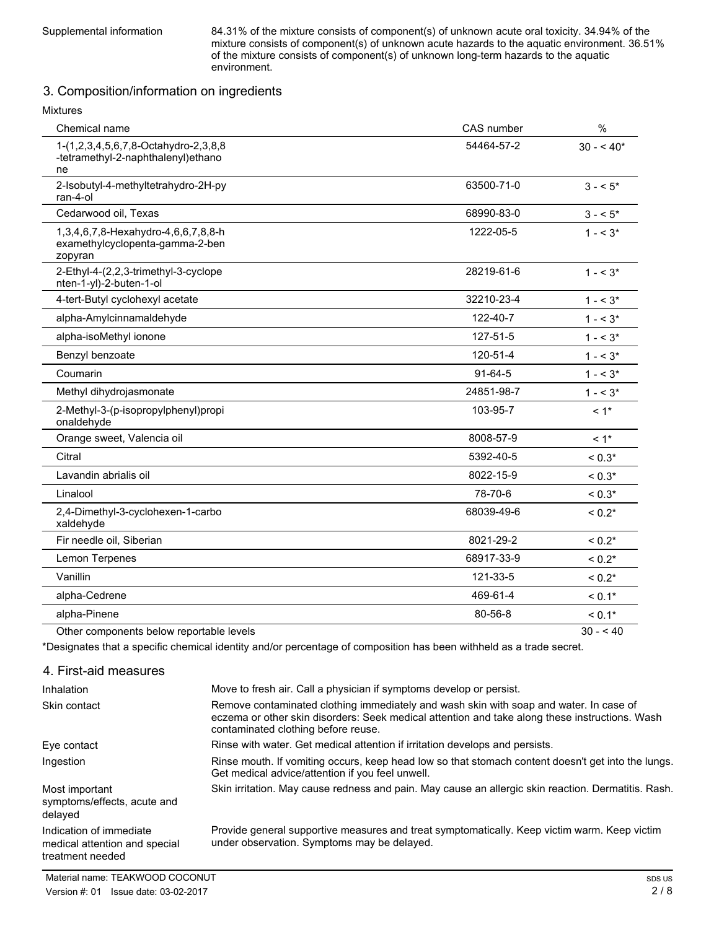Supplemental information 84.31% of the mixture consists of component(s) of unknown acute oral toxicity. 34.94% of the mixture consists of component(s) of unknown acute hazards to the aquatic environment. 36.51% of the mixture consists of component(s) of unknown long-term hazards to the aquatic environment.

### 3. Composition/information on ingredients

| <b>Mixtures</b>                                                                   |               |             |
|-----------------------------------------------------------------------------------|---------------|-------------|
| Chemical name                                                                     | CAS number    | %           |
| 1-(1,2,3,4,5,6,7,8-Octahydro-2,3,8,8<br>-tetramethyl-2-naphthalenyl)ethano<br>ne  | 54464-57-2    | $30 - 540*$ |
| 2-Isobutyl-4-methyltetrahydro-2H-py<br>ran-4-ol                                   | 63500-71-0    | $3 - 5^*$   |
| Cedarwood oil, Texas                                                              | 68990-83-0    | $3 - 5*$    |
| 1,3,4,6,7,8-Hexahydro-4,6,6,7,8,8-h<br>examethylcyclopenta-gamma-2-ben<br>zopyran | 1222-05-5     | $1 - 5^*$   |
| 2-Ethyl-4-(2,2,3-trimethyl-3-cyclope<br>nten-1-yl)-2-buten-1-ol                   | 28219-61-6    | $1 - 5^*$   |
| 4-tert-Butyl cyclohexyl acetate                                                   | 32210-23-4    | $1 - 5^*$   |
| alpha-Amylcinnamaldehyde                                                          | 122-40-7      | $1 - 5^*$   |
| alpha-isoMethyl ionone                                                            | 127-51-5      | $1 - 5^*$   |
| Benzyl benzoate                                                                   | 120-51-4      | $1 - 5^*$   |
| Coumarin                                                                          | $91 - 64 - 5$ | $1 - 5^*$   |
| Methyl dihydrojasmonate                                                           | 24851-98-7    | $1 - 3^*$   |
| 2-Methyl-3-(p-isopropylphenyl)propi<br>onaldehyde                                 | 103-95-7      | $< 1$ *     |
| Orange sweet, Valencia oil                                                        | 8008-57-9     | $< 1$ *     |
| Citral                                                                            | 5392-40-5     | $< 0.3*$    |
| Lavandin abrialis oil                                                             | 8022-15-9     | $< 0.3*$    |
| Linalool                                                                          | 78-70-6       | $< 0.3*$    |
| 2,4-Dimethyl-3-cyclohexen-1-carbo<br>xaldehyde                                    | 68039-49-6    | $< 0.2*$    |
| Fir needle oil, Siberian                                                          | 8021-29-2     | $< 0.2*$    |
| Lemon Terpenes                                                                    | 68917-33-9    | $< 0.2*$    |
| Vanillin                                                                          | 121-33-5      | $< 0.2*$    |
| alpha-Cedrene                                                                     | 469-61-4      | $< 0.1*$    |
| alpha-Pinene                                                                      | 80-56-8       | $< 0.1*$    |
|                                                                                   |               |             |

Other components below reportable levels 30 - < 40

\*Designates that a specific chemical identity and/or percentage of composition has been withheld as a trade secret.

| 4. First-aid measures                                                        |                                                                                                                                                                                                                                 |
|------------------------------------------------------------------------------|---------------------------------------------------------------------------------------------------------------------------------------------------------------------------------------------------------------------------------|
| Inhalation                                                                   | Move to fresh air. Call a physician if symptoms develop or persist.                                                                                                                                                             |
| Skin contact                                                                 | Remove contaminated clothing immediately and wash skin with soap and water. In case of<br>eczema or other skin disorders: Seek medical attention and take along these instructions. Wash<br>contaminated clothing before reuse. |
| Eye contact                                                                  | Rinse with water. Get medical attention if irritation develops and persists.                                                                                                                                                    |
| Ingestion                                                                    | Rinse mouth. If vomiting occurs, keep head low so that stomach content doesn't get into the lungs.<br>Get medical advice/attention if you feel unwell.                                                                          |
| Most important<br>symptoms/effects, acute and<br>delaved                     | Skin irritation. May cause redness and pain. May cause an allergic skin reaction. Dermatitis. Rash.                                                                                                                             |
| Indication of immediate<br>medical attention and special<br>treatment needed | Provide general supportive measures and treat symptomatically. Keep victim warm. Keep victim<br>under observation. Symptoms may be delayed.                                                                                     |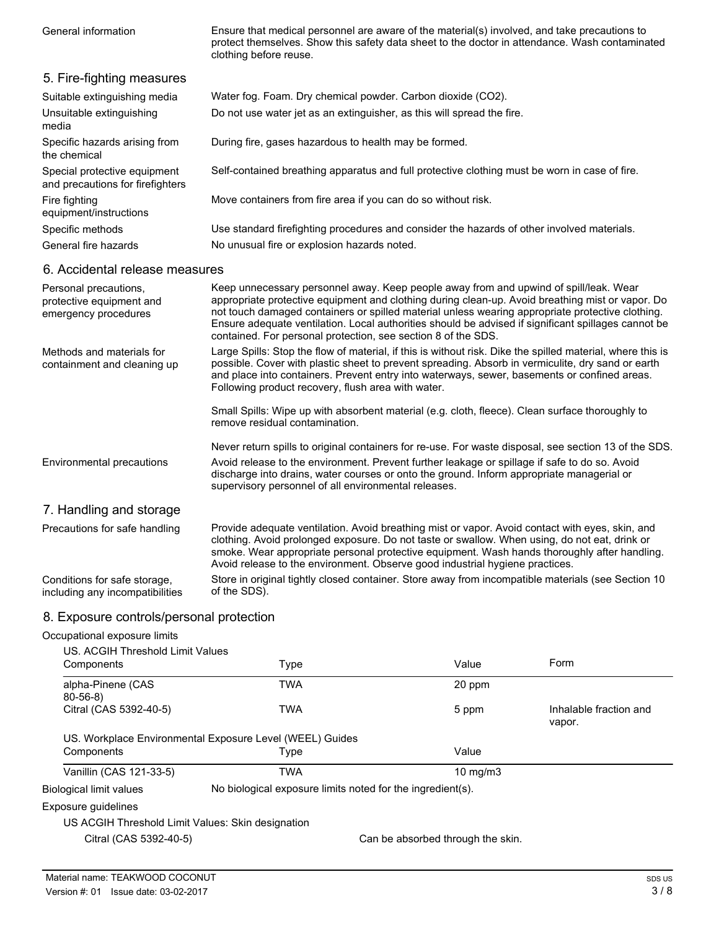Ensure that medical personnel are aware of the material(s) involved, and take precautions to protect themselves. Show this safety data sheet to the doctor in attendance. Wash contaminated clothing before reuse.

| 5. Fire-fighting measures                                                 |                                                                                                                                                                                                                                                                                                                                                                                                                                                                       |
|---------------------------------------------------------------------------|-----------------------------------------------------------------------------------------------------------------------------------------------------------------------------------------------------------------------------------------------------------------------------------------------------------------------------------------------------------------------------------------------------------------------------------------------------------------------|
| Suitable extinguishing media                                              | Water fog. Foam. Dry chemical powder. Carbon dioxide (CO2).                                                                                                                                                                                                                                                                                                                                                                                                           |
| Unsuitable extinguishing<br>media                                         | Do not use water jet as an extinguisher, as this will spread the fire.                                                                                                                                                                                                                                                                                                                                                                                                |
| Specific hazards arising from<br>the chemical                             | During fire, gases hazardous to health may be formed.                                                                                                                                                                                                                                                                                                                                                                                                                 |
| Special protective equipment<br>and precautions for firefighters          | Self-contained breathing apparatus and full protective clothing must be worn in case of fire.                                                                                                                                                                                                                                                                                                                                                                         |
| Fire fighting<br>equipment/instructions                                   | Move containers from fire area if you can do so without risk.                                                                                                                                                                                                                                                                                                                                                                                                         |
| Specific methods                                                          | Use standard firefighting procedures and consider the hazards of other involved materials.                                                                                                                                                                                                                                                                                                                                                                            |
| General fire hazards                                                      | No unusual fire or explosion hazards noted.                                                                                                                                                                                                                                                                                                                                                                                                                           |
| 6. Accidental release measures                                            |                                                                                                                                                                                                                                                                                                                                                                                                                                                                       |
| Personal precautions,<br>protective equipment and<br>emergency procedures | Keep unnecessary personnel away. Keep people away from and upwind of spill/leak. Wear<br>appropriate protective equipment and clothing during clean-up. Avoid breathing mist or vapor. Do<br>not touch damaged containers or spilled material unless wearing appropriate protective clothing.<br>Ensure adequate ventilation. Local authorities should be advised if significant spillages cannot be<br>contained. For personal protection, see section 8 of the SDS. |
| Methods and materials for<br>containment and cleaning up                  | Large Spills: Stop the flow of material, if this is without risk. Dike the spilled material, where this is<br>possible. Cover with plastic sheet to prevent spreading. Absorb in vermiculite, dry sand or earth<br>and place into containers. Prevent entry into waterways, sewer, basements or confined areas.<br>Following product recovery, flush area with water.                                                                                                 |
|                                                                           | Small Spills: Wipe up with absorbent material (e.g. cloth, fleece). Clean surface thoroughly to<br>remove residual contamination.                                                                                                                                                                                                                                                                                                                                     |
|                                                                           | Never return spills to original containers for re-use. For waste disposal, see section 13 of the SDS.                                                                                                                                                                                                                                                                                                                                                                 |
| Environmental precautions                                                 | Avoid release to the environment. Prevent further leakage or spillage if safe to do so. Avoid<br>discharge into drains, water courses or onto the ground. Inform appropriate managerial or<br>supervisory personnel of all environmental releases.                                                                                                                                                                                                                    |
| 7. Handling and storage                                                   |                                                                                                                                                                                                                                                                                                                                                                                                                                                                       |
| Precautions for safe handling                                             | Provide adequate ventilation. Avoid breathing mist or vapor. Avoid contact with eyes, skin, and<br>clothing. Avoid prolonged exposure. Do not taste or swallow. When using, do not eat, drink or<br>emoke Wear appropriate personal protective equipment Wash hands thoroughly after handling                                                                                                                                                                         |

smoke. Wear appropriate personal protective equipment. Wash hands thoroughly after handling. Avoid release to the environment. Observe good industrial hygiene practices. Store in original tightly closed container. Store away from incompatible materials (see Section 10 of the SDS). Conditions for safe storage, including any incompatibilities

### 8. Exposure controls/personal protection

### Occupational exposure limits

| US. ACGIH Threshold Limit Values                  |                                                            |                                   | Form                             |
|---------------------------------------------------|------------------------------------------------------------|-----------------------------------|----------------------------------|
| Components                                        | Type                                                       | Value                             |                                  |
| alpha-Pinene (CAS<br>$80 - 56 - 8$                | <b>TWA</b>                                                 | 20 ppm                            |                                  |
| Citral (CAS 5392-40-5)                            | <b>TWA</b>                                                 | 5 ppm                             | Inhalable fraction and<br>vapor. |
|                                                   | US. Workplace Environmental Exposure Level (WEEL) Guides   |                                   |                                  |
| Components                                        | Type                                                       | Value                             |                                  |
| Vanillin (CAS 121-33-5)                           | TWA                                                        | $10 \text{ mg/m}$                 |                                  |
| Biological limit values                           | No biological exposure limits noted for the ingredient(s). |                                   |                                  |
| Exposure guidelines                               |                                                            |                                   |                                  |
| US ACGIH Threshold Limit Values: Skin designation |                                                            |                                   |                                  |
| Citral (CAS 5392-40-5)                            |                                                            | Can be absorbed through the skin. |                                  |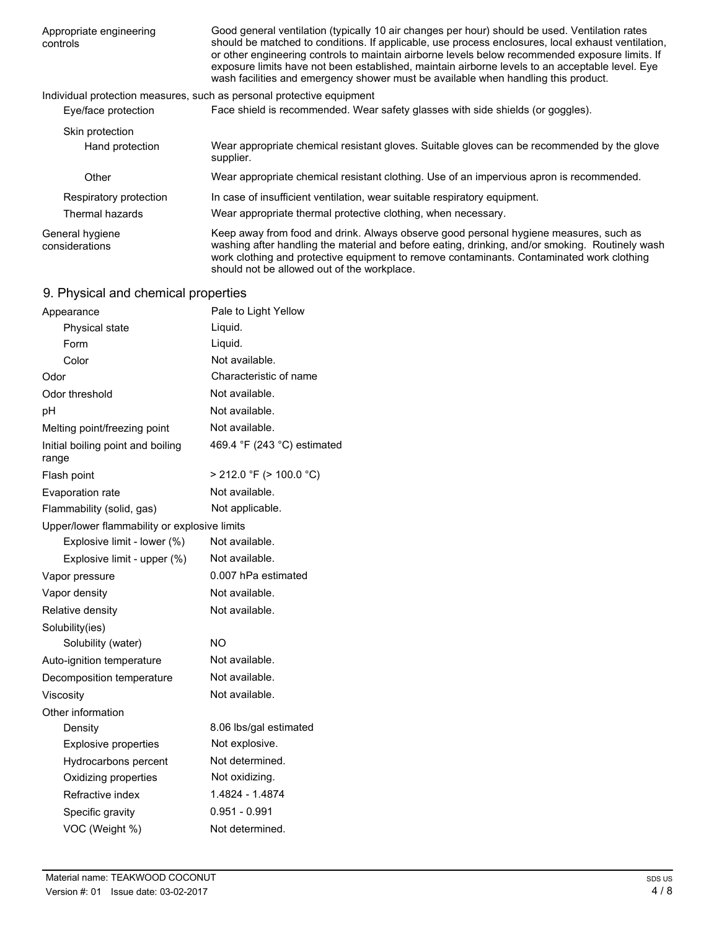| Appropriate engineering<br>controls | Good general ventilation (typically 10 air changes per hour) should be used. Ventilation rates<br>should be matched to conditions. If applicable, use process enclosures, local exhaust ventilation,<br>or other engineering controls to maintain airborne levels below recommended exposure limits. If<br>exposure limits have not been established, maintain airborne levels to an acceptable level. Eye<br>wash facilities and emergency shower must be available when handling this product. |
|-------------------------------------|--------------------------------------------------------------------------------------------------------------------------------------------------------------------------------------------------------------------------------------------------------------------------------------------------------------------------------------------------------------------------------------------------------------------------------------------------------------------------------------------------|
|                                     | Individual protection measures, such as personal protective equipment                                                                                                                                                                                                                                                                                                                                                                                                                            |
| Eye/face protection                 | Face shield is recommended. Wear safety glasses with side shields (or goggles).                                                                                                                                                                                                                                                                                                                                                                                                                  |
| Skin protection                     |                                                                                                                                                                                                                                                                                                                                                                                                                                                                                                  |
| Hand protection                     | Wear appropriate chemical resistant gloves. Suitable gloves can be recommended by the glove<br>supplier.                                                                                                                                                                                                                                                                                                                                                                                         |
| Other                               | Wear appropriate chemical resistant clothing. Use of an impervious apron is recommended.                                                                                                                                                                                                                                                                                                                                                                                                         |
| Respiratory protection              | In case of insufficient ventilation, wear suitable respiratory equipment.                                                                                                                                                                                                                                                                                                                                                                                                                        |
| Thermal hazards                     | Wear appropriate thermal protective clothing, when necessary.                                                                                                                                                                                                                                                                                                                                                                                                                                    |
| General hygiene<br>considerations   | Keep away from food and drink. Always observe good personal hygiene measures, such as<br>washing after handling the material and before eating, drinking, and/or smoking. Routinely wash<br>work clothing and protective equipment to remove contaminants. Contaminated work clothing<br>should not be allowed out of the workplace.                                                                                                                                                             |

## 9. Physical and chemical properties

| Appearance                                   | Pale to Light Yellow         |
|----------------------------------------------|------------------------------|
| Physical state                               | Liquid.                      |
| Form                                         | Liquid.                      |
| Color                                        | Not available.               |
| Odor                                         | Characteristic of name       |
| Odor threshold                               | Not available.               |
| рH                                           | Not available.               |
| Melting point/freezing point                 | Not available.               |
| Initial boiling point and boiling<br>range   | 469.4 °F (243 °C) estimated  |
| Flash point                                  | $> 212.0$ °F ( $> 100.0$ °C) |
| Evaporation rate                             | Not available.               |
| Flammability (solid, gas)                    | Not applicable.              |
| Upper/lower flammability or explosive limits |                              |
| Explosive limit - lower (%)                  | Not available.               |
| Explosive limit - upper (%)                  | Not available.               |
| Vapor pressure                               | 0.007 hPa estimated          |
| Vapor density                                | Not available.               |
| Relative density                             | Not available.               |
| Solubility(ies)                              |                              |
| Solubility (water)                           | NO.                          |
| Auto-ignition temperature                    | Not available.               |
| Decomposition temperature                    | Not available.               |
| Viscosity                                    | Not available.               |
| Other information                            |                              |
| Density                                      | 8.06 lbs/gal estimated       |
| <b>Explosive properties</b>                  | Not explosive.               |
| Hydrocarbons percent                         | Not determined.              |
| Oxidizing properties                         | Not oxidizing.               |
| Refractive index                             | 1.4824 - 1.4874              |
| Specific gravity                             | $0.951 - 0.991$              |
| VOC (Weight %)                               | Not determined.              |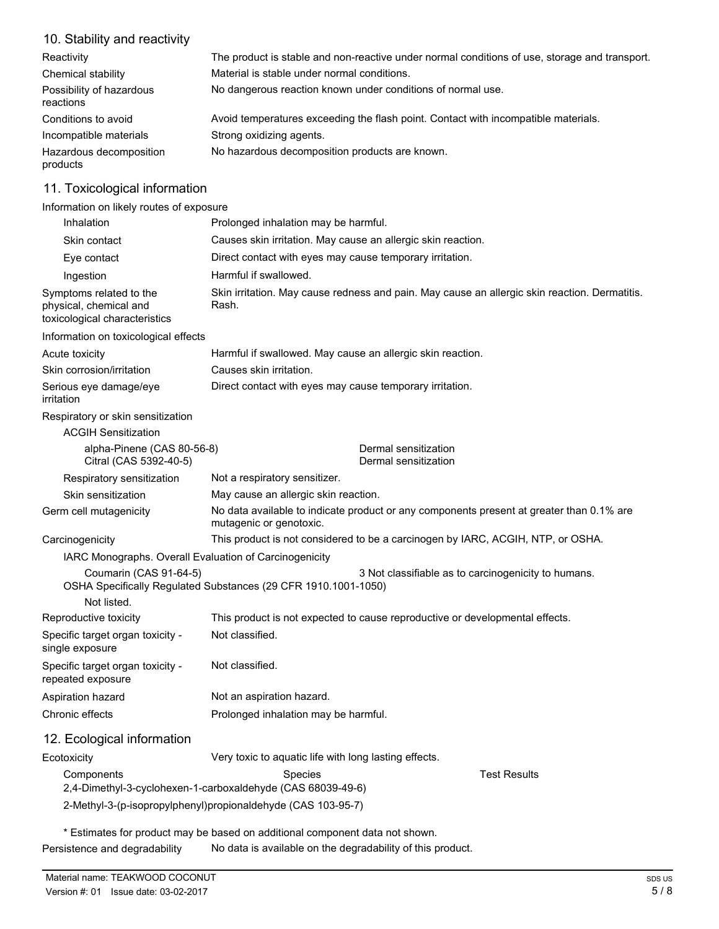### 10. Stability and reactivity

| Reactivity                            | The product is stable and non-reactive under normal conditions of use, storage and transport. |
|---------------------------------------|-----------------------------------------------------------------------------------------------|
| Chemical stability                    | Material is stable under normal conditions.                                                   |
| Possibility of hazardous<br>reactions | No dangerous reaction known under conditions of normal use.                                   |
| Conditions to avoid                   | Avoid temperatures exceeding the flash point. Contact with incompatible materials.            |
| Incompatible materials                | Strong oxidizing agents.                                                                      |
| Hazardous decomposition<br>products   | No hazardous decomposition products are known.                                                |

### 11. Toxicological information

Information on likely routes of exposure

| Inhalation                                                                         | Prolonged inhalation may be harmful.                                                                                  |  |
|------------------------------------------------------------------------------------|-----------------------------------------------------------------------------------------------------------------------|--|
| Skin contact                                                                       | Causes skin irritation. May cause an allergic skin reaction.                                                          |  |
| Eye contact                                                                        | Direct contact with eyes may cause temporary irritation.                                                              |  |
| Ingestion                                                                          | Harmful if swallowed.                                                                                                 |  |
| Symptoms related to the<br>physical, chemical and<br>toxicological characteristics | Skin irritation. May cause redness and pain. May cause an allergic skin reaction. Dermatitis.<br>Rash.                |  |
| Information on toxicological effects                                               |                                                                                                                       |  |
| Acute toxicity                                                                     | Harmful if swallowed. May cause an allergic skin reaction.                                                            |  |
| Skin corrosion/irritation                                                          | Causes skin irritation.                                                                                               |  |
| Serious eye damage/eye<br>irritation                                               | Direct contact with eyes may cause temporary irritation.                                                              |  |
| Respiratory or skin sensitization                                                  |                                                                                                                       |  |
| <b>ACGIH Sensitization</b>                                                         |                                                                                                                       |  |
| alpha-Pinene (CAS 80-56-8)<br>Citral (CAS 5392-40-5)                               | Dermal sensitization<br>Dermal sensitization                                                                          |  |
| Respiratory sensitization                                                          | Not a respiratory sensitizer.                                                                                         |  |
| Skin sensitization                                                                 | May cause an allergic skin reaction.                                                                                  |  |
| Germ cell mutagenicity                                                             | No data available to indicate product or any components present at greater than 0.1% are<br>mutagenic or genotoxic.   |  |
| Carcinogenicity                                                                    | This product is not considered to be a carcinogen by IARC, ACGIH, NTP, or OSHA.                                       |  |
| IARC Monographs. Overall Evaluation of Carcinogenicity                             |                                                                                                                       |  |
| Coumarin (CAS 91-64-5)<br>Not listed.                                              | 3 Not classifiable as to carcinogenicity to humans.<br>OSHA Specifically Regulated Substances (29 CFR 1910.1001-1050) |  |
| Reproductive toxicity                                                              | This product is not expected to cause reproductive or developmental effects.                                          |  |
| Specific target organ toxicity -<br>single exposure                                | Not classified.                                                                                                       |  |
| Specific target organ toxicity -<br>repeated exposure                              | Not classified.                                                                                                       |  |
| Aspiration hazard                                                                  | Not an aspiration hazard.                                                                                             |  |
| Chronic effects                                                                    | Prolonged inhalation may be harmful.                                                                                  |  |
| 12. Ecological information                                                         |                                                                                                                       |  |
| Ecotoxicity                                                                        | Very toxic to aquatic life with long lasting effects.                                                                 |  |
| Components                                                                         | <b>Test Results</b><br>Species<br>2,4-Dimethyl-3-cyclohexen-1-carboxaldehyde (CAS 68039-49-6)                         |  |
|                                                                                    | 2-Methyl-3-(p-isopropylphenyl)propionaldehyde (CAS 103-95-7)                                                          |  |

\* Estimates for product may be based on additional component data not shown. Persistence and degradability No data is available on the degradability of this product.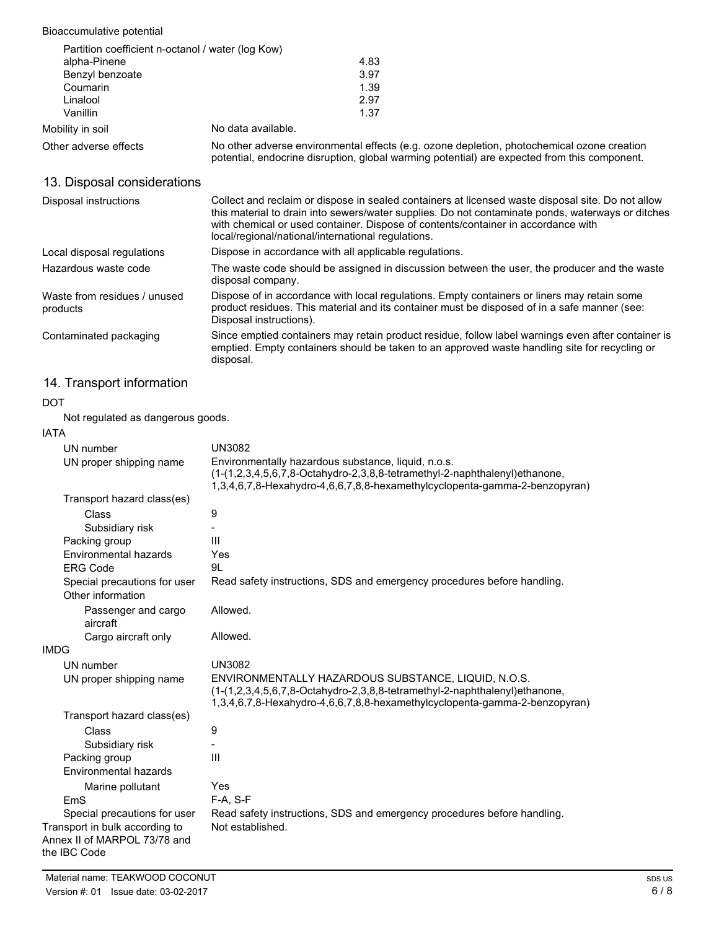### Bioaccumulative potential

| Partition coefficient n-octanol / water (log Kow) |                                                                                                                                                                                            |
|---------------------------------------------------|--------------------------------------------------------------------------------------------------------------------------------------------------------------------------------------------|
| alpha-Pinene                                      | 4.83                                                                                                                                                                                       |
| Benzyl benzoate                                   | 3.97                                                                                                                                                                                       |
| Coumarin                                          | 1.39                                                                                                                                                                                       |
| Linalool                                          | 2.97                                                                                                                                                                                       |
| Vanillin                                          | 1.37                                                                                                                                                                                       |
| Mobility in soil                                  | No data available.                                                                                                                                                                         |
| Other adverse effects                             | No other adverse environmental effects (e.g. ozone depletion, photochemical ozone creation<br>potential, endocrine disruption, global warming potential) are expected from this component. |

### 13. Disposal considerations

| Disposal instructions                    | Collect and reclaim or dispose in sealed containers at licensed waste disposal site. Do not allow<br>this material to drain into sewers/water supplies. Do not contaminate ponds, waterways or ditches<br>with chemical or used container. Dispose of contents/container in accordance with<br>local/regional/national/international regulations. |
|------------------------------------------|---------------------------------------------------------------------------------------------------------------------------------------------------------------------------------------------------------------------------------------------------------------------------------------------------------------------------------------------------|
| Local disposal regulations               | Dispose in accordance with all applicable regulations.                                                                                                                                                                                                                                                                                            |
| Hazardous waste code                     | The waste code should be assigned in discussion between the user, the producer and the waste<br>disposal company.                                                                                                                                                                                                                                 |
| Waste from residues / unused<br>products | Dispose of in accordance with local regulations. Empty containers or liners may retain some<br>product residues. This material and its container must be disposed of in a safe manner (see:<br>Disposal instructions).                                                                                                                            |
| Contaminated packaging                   | Since emptied containers may retain product residue, follow label warnings even after container is<br>emptied. Empty containers should be taken to an approved waste handling site for recycling or<br>disposal.                                                                                                                                  |

### 14. Transport information

#### DOT

Not regulated as dangerous goods.

### IATA

| IATA                                                                           |                                                                                                                                                                                                                 |
|--------------------------------------------------------------------------------|-----------------------------------------------------------------------------------------------------------------------------------------------------------------------------------------------------------------|
| UN number                                                                      | <b>UN3082</b>                                                                                                                                                                                                   |
| UN proper shipping name                                                        | Environmentally hazardous substance, liquid, n.o.s.<br>(1-(1,2,3,4,5,6,7,8-Octahydro-2,3,8,8-tetramethyl-2-naphthalenyl)ethanone,<br>1,3,4,6,7,8-Hexahydro-4,6,6,7,8,8-hexamethylcyclopenta-gamma-2-benzopyran) |
| Transport hazard class(es)                                                     |                                                                                                                                                                                                                 |
| Class                                                                          | 9                                                                                                                                                                                                               |
| Subsidiary risk                                                                |                                                                                                                                                                                                                 |
| Packing group                                                                  | Ш                                                                                                                                                                                                               |
| Environmental hazards                                                          | Yes                                                                                                                                                                                                             |
| <b>ERG Code</b>                                                                | 9L                                                                                                                                                                                                              |
| Special precautions for user<br>Other information                              | Read safety instructions, SDS and emergency procedures before handling.                                                                                                                                         |
| Passenger and cargo<br>aircraft                                                | Allowed.                                                                                                                                                                                                        |
| Cargo aircraft only                                                            | Allowed.                                                                                                                                                                                                        |
| <b>IMDG</b>                                                                    |                                                                                                                                                                                                                 |
| UN number                                                                      | <b>UN3082</b>                                                                                                                                                                                                   |
| UN proper shipping name                                                        | ENVIRONMENTALLY HAZARDOUS SUBSTANCE, LIQUID, N.O.S.<br>(1-(1,2,3,4,5,6,7,8-Octahydro-2,3,8,8-tetramethyl-2-naphthalenyl)ethanone,<br>1,3,4,6,7,8-Hexahydro-4,6,6,7,8,8-hexamethylcyclopenta-gamma-2-benzopyran) |
| Transport hazard class(es)                                                     |                                                                                                                                                                                                                 |
| Class                                                                          | 9                                                                                                                                                                                                               |
| Subsidiary risk                                                                |                                                                                                                                                                                                                 |
| Packing group                                                                  | III                                                                                                                                                                                                             |
| Environmental hazards                                                          |                                                                                                                                                                                                                 |
| Marine pollutant                                                               | Yes                                                                                                                                                                                                             |
| EmS                                                                            | $F-A. S-F$                                                                                                                                                                                                      |
| Special precautions for user                                                   | Read safety instructions, SDS and emergency procedures before handling.                                                                                                                                         |
| Transport in bulk according to<br>Annex II of MARPOL 73/78 and<br>the IBC Code | Not established.                                                                                                                                                                                                |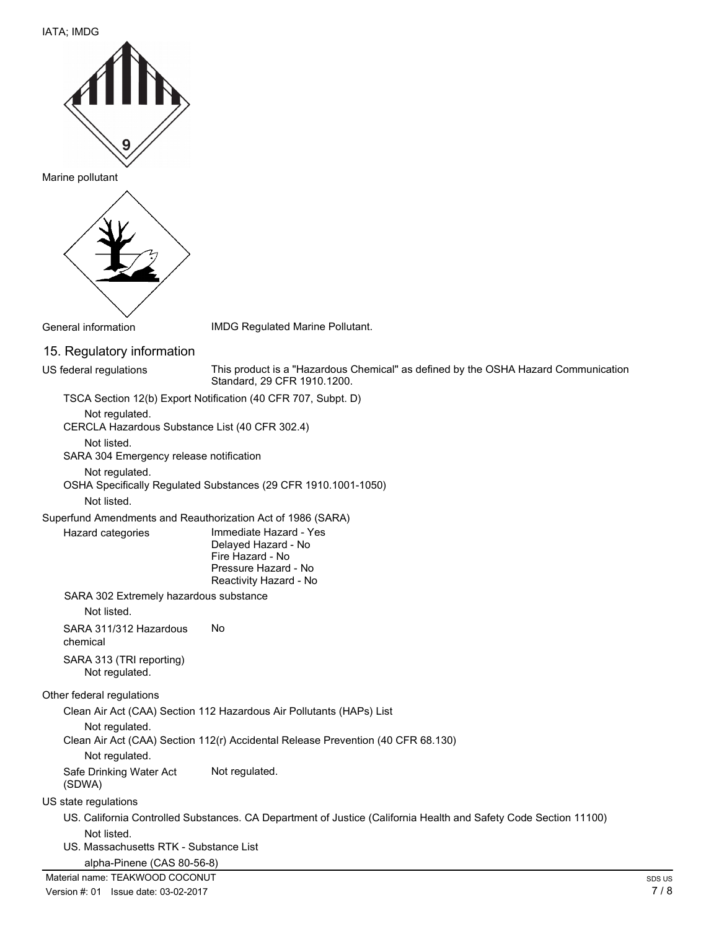#### IATA; IMDG



Marine pollutant



General information **IMDG** Regulated Marine Pollutant.

15. Regulatory information US federal regulations

This product is a "Hazardous Chemical" as defined by the OSHA Hazard Communication Standard, 29 CFR 1910.1200.

TSCA Section 12(b) Export Notification (40 CFR 707, Subpt. D)

Not regulated.

CERCLA Hazardous Substance List (40 CFR 302.4)

Not listed.

SARA 304 Emergency release notification

Not regulated.

OSHA Specifically Regulated Substances (29 CFR 1910.1001-1050)

Not listed.

Hazard categories

Superfund Amendments and Reauthorization Act of 1986 (SARA)

Immediate Hazard - Yes Delayed Hazard - No Fire Hazard - No Pressure Hazard - No Reactivity Hazard - No

SARA 302 Extremely hazardous substance

Not listed.

SARA 311/312 Hazardous No

chemical

SARA 313 (TRI reporting) Not regulated.

#### Other federal regulations

Clean Air Act (CAA) Section 112 Hazardous Air Pollutants (HAPs) List

Not regulated.

Clean Air Act (CAA) Section 112(r) Accidental Release Prevention (40 CFR 68.130)

Not regulated.

Safe Drinking Water Act Not regulated. (SDWA)

#### US state regulations

US. California Controlled Substances. CA Department of Justice (California Health and Safety Code Section 11100) Not listed.

US. Massachusetts RTK - Substance List

alpha-Pinene (CAS 80-56-8)